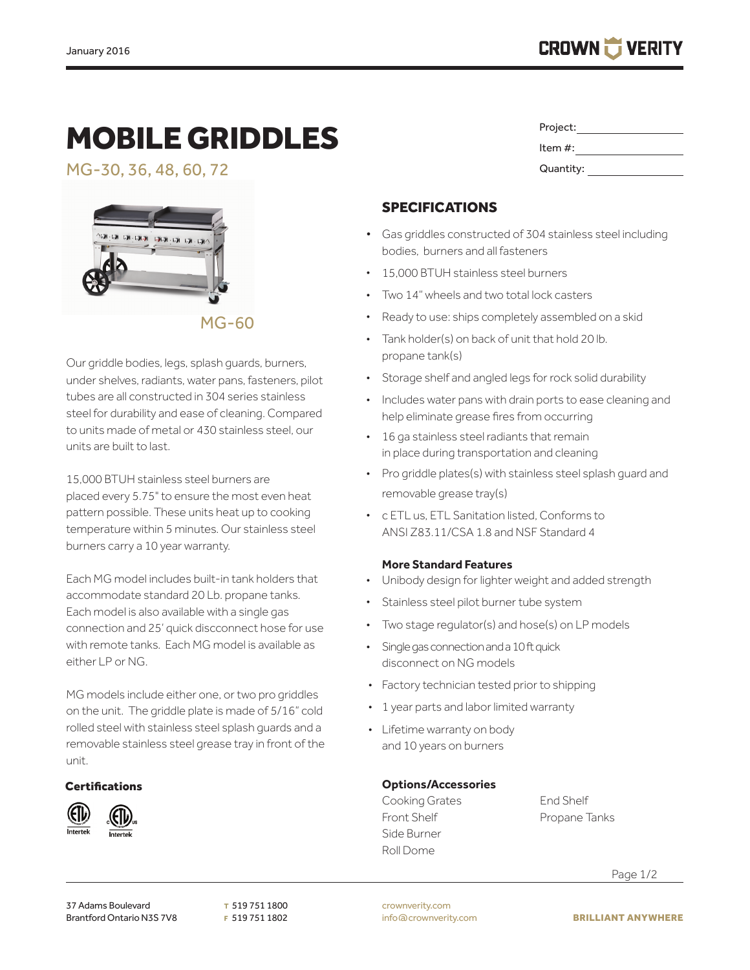# MOBILE GRIDDLES

MG-30, 36, 48, 60, 72



Our griddle bodies, legs, splash guards, burners, under shelves, radiants, water pans, fasteners, pilot tubes are all constructed in 304 series stainless steel for durability and ease of cleaning. Compared to units made of metal or 430 stainless steel, our units are built to last.

15,000 BTUH stainless steel burners are placed every 5.75" to ensure the most even heat pattern possible. These units heat up to cooking temperature within 5 minutes. Our stainless steel burners carry a 10 year warranty.

Each MG model includes built-in tank holders that accommodate standard 20 Lb. propane tanks. Each model is also available with a single gas connection and 25' quick discconnect hose for use with remote tanks. Each MG model is available as either LP or NG.

MG models include either one, or two pro griddles on the unit. The griddle plate is made of 5/16" cold rolled steel with stainless steel splash guards and a removable stainless steel grease tray in front of the unit.

#### **Certifications**



| Project:   |
|------------|
| Item $#$ : |
| Quantity:  |

## SPECIFICATIONS

- Gas griddles constructed of 304 stainless steel including bodies, burners and all fasteners
- 15,000 BTUH stainless steel burners
- Two 14" wheels and two total lock casters
- Ready to use: ships completely assembled on a skid
- Tank holder(s) on back of unit that hold 20 lb. propane tank(s)
- Storage shelf and angled legs for rock solid durability
- Includes water pans with drain ports to ease cleaning and help eliminate grease fires from occurring
- 16 ga stainless steel radiants that remain in place during transportation and cleaning
- Pro griddle plates(s) with stainless steel splash guard and removable grease tray(s)
- c ETL us, ETL Sanitation listed, Conforms to ANSI Z83.11/CSA 1.8 and NSF Standard 4

#### **More Standard Features**

- Unibody design for lighter weight and added strength
- Stainless steel pilot burner tube system
- Two stage regulator(s) and hose(s) on LP models
- Single gas connection and a 10 ft quick disconnect on NG models
- Factory technician tested prior to shipping
- 1 year parts and labor limited warranty
- Lifetime warranty on body and 10 years on burners

#### **Options/Accessories**

Cooking Grates End Shelf Front Shelf **Propane Tanks** Side Burner Roll Dome

Page 1/2

37 Adams Boulevard Brantford Ontario N3S 7V8 **T** 519 751 1800 **F** 519 751 1802 crownverity.com